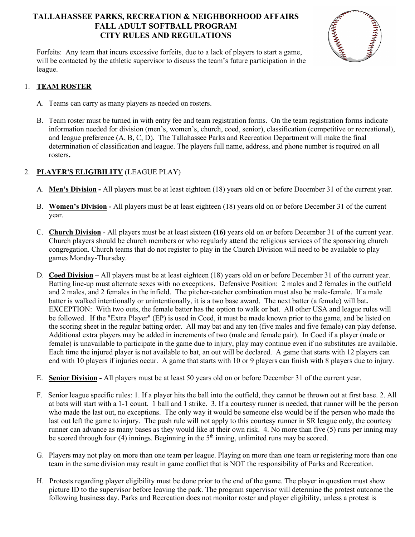# TALLAHASSEE PARKS, RECREATION & NEIGHBORHOOD AFFAIRS FALL ADULT SOFTBALL PROGRAM CITY RULES AND REGULATIONS



Forfeits: Any team that incurs excessive forfeits, due to a lack of players to start a game, will be contacted by the athletic supervisor to discuss the team's future participation in the league.

### 1. TEAM ROSTER

- A. Teams can carry as many players as needed on rosters.
- B. Team roster must be turned in with entry fee and team registration forms. On the team registration forms indicate information needed for division (men's, women's, church, coed, senior), classification (competitive or recreational), and league preference (A, B, C, D). The Tallahassee Parks and Recreation Department will make the final determination of classification and league. The players full name, address, and phone number is required on all rosters.

## 2. PLAYER'S ELIGIBILITY (LEAGUE PLAY)

- A. Men's Division All players must be at least eighteen (18) years old on or before December 31 of the current year.
- B. Women's Division All players must be at least eighteen (18) years old on or before December 31 of the current year.
- C. Church Division All players must be at least sixteen (16) years old on or before December 31 of the current year. Church players should be church members or who regularly attend the religious services of the sponsoring church congregation. Church teams that do not register to play in the Church Division will need to be available to play games Monday-Thursday.
- D. Coed Division All players must be at least eighteen (18) years old on or before December 31 of the current year. Batting line-up must alternate sexes with no exceptions. Defensive Position: 2 males and 2 females in the outfield and 2 males, and 2 females in the infield. The pitcher-catcher combination must also be male-female. If a male batter is walked intentionally or unintentionally, it is a two base award. The next batter (a female) will bat. EXCEPTION: With two outs, the female batter has the option to walk or bat. All other USA and league rules will be followed. If the "Extra Player" (EP) is used in Coed, it must be made known prior to the game, and be listed on the scoring sheet in the regular batting order. All may bat and any ten (five males and five female) can play defense. Additional extra players may be added in increments of two (male and female pair). In Coed if a player (male or female) is unavailable to participate in the game due to injury, play may continue even if no substitutes are available. Each time the injured player is not available to bat, an out will be declared. A game that starts with 12 players can end with 10 players if injuries occur. A game that starts with 10 or 9 players can finish with 8 players due to injury.
- E. Senior Division All players must be at least 50 years old on or before December 31 of the current year.
- F. Senior league specific rules: 1. If a player hits the ball into the outfield, they cannot be thrown out at first base. 2. All at bats will start with a 1-1 count. 1 ball and 1 strike. 3. If a courtesy runner is needed, that runner will be the person who made the last out, no exceptions. The only way it would be someone else would be if the person who made the last out left the game to injury. The push rule will not apply to this courtesy runner in SR league only, the courtesy runner can advance as many bases as they would like at their own risk. 4. No more than five (5) runs per inning may be scored through four (4) innings. Beginning in the  $5<sup>th</sup>$  inning, unlimited runs may be scored.
- G. Players may not play on more than one team per league. Playing on more than one team or registering more than one team in the same division may result in game conflict that is NOT the responsibility of Parks and Recreation.
- H. Protests regarding player eligibility must be done prior to the end of the game. The player in question must show picture ID to the supervisor before leaving the park. The program supervisor will determine the protest outcome the following business day. Parks and Recreation does not monitor roster and player eligibility, unless a protest is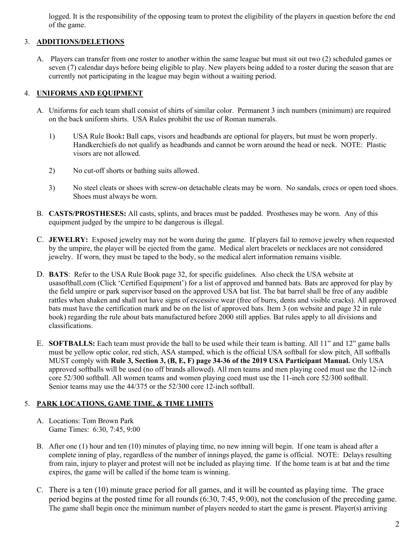logged. It is the responsibility of the opposing team to protest the eligibility of the players in question before the end of the game.

# 3. ADDITIONS/DELETIONS

A. Players can transfer from one roster to another within the same league but must sit out two (2) scheduled games or seven (7) calendar days before being eligible to play. New players being added to a roster during the season that are currently not participating in the league may begin without a waiting period.

# 4. UNIFORMS AND EQUIPMENT

- A. Uniforms for each team shall consist of shirts of similar color. Permanent 3 inch numbers (minimum) are required on the back uniform shirts. USA Rules prohibit the use of Roman numerals.
	- 1) USA Rule Book: Ball caps, visors and headbands are optional for players, but must be worn properly. Handkerchiefs do not qualify as headbands and cannot be worn around the head or neck. NOTE: Plastic visors are not allowed.
	- 2) No cut-off shorts or bathing suits allowed.
	- 3) No steel cleats or shoes with screw-on detachable cleats may be worn. No sandals, crocs or open toed shoes. Shoes must always be worn.
- B. CASTS/PROSTHESES: All casts, splints, and braces must be padded. Prostheses may be worn. Any of this equipment judged by the umpire to be dangerous is illegal.
- C. JEWELRY: Exposed jewelry may not be worn during the game. If players fail to remove jewelry when requested by the umpire, the player will be ejected from the game. Medical alert bracelets or necklaces are not considered jewelry. If worn, they must be taped to the body, so the medical alert information remains visible.
- D. BATS: Refer to the USA Rule Book page 32, for specific guidelines. Also check the USA website at usasoftball.com (Click 'Certified Equipment') for a list of approved and banned bats. Bats are approved for play by the field umpire or park supervisor based on the approved USA bat list. The bat barrel shall be free of any audible rattles when shaken and shall not have signs of excessive wear (free of burrs, dents and visible cracks). All approved bats must have the certification mark and be on the list of approved bats. Item 3 (on website and page 32 in rule book) regarding the rule about bats manufactured before 2000 still applies. Bat rules apply to all divisions and classifications.
- E. SOFTBALLS: Each team must provide the ball to be used while their team is batting. All 11" and 12" game balls must be yellow optic color, red stich, ASA stamped, which is the official USA softball for slow pitch. All softballs MUST comply with Rule 3, Section 3, (B, E, F) page 34-36 of the 2019 USA Participant Manual. Only USA approved softballs will be used (no off brands allowed). All men teams and men playing coed must use the 12-inch core 52/300 softball. All women teams and women playing coed must use the 11-inch core 52/300 softball. Senior teams may use the 44/375 or the 52/300 core 12-inch softball.

# 5. PARK LOCATIONS, GAME TIME, & TIME LIMITS

- A. Locations: Tom Brown Park Game Times: 6:30, 7:45, 9:00
- B. After one (1) hour and ten (10) minutes of playing time, no new inning will begin. If one team is ahead after a complete inning of play, regardless of the number of innings played, the game is official. NOTE: Delays resulting from rain, injury to player and protest will not be included as playing time. If the home team is at bat and the time expires, the game will be called if the home team is winning.
- C. There is a ten (10) minute grace period for all games, and it will be counted as playing time. The grace period begins at the posted time for all rounds (6:30, 7:45, 9:00), not the conclusion of the preceding game. The game shall begin once the minimum number of players needed to start the game is present. Player(s) arriving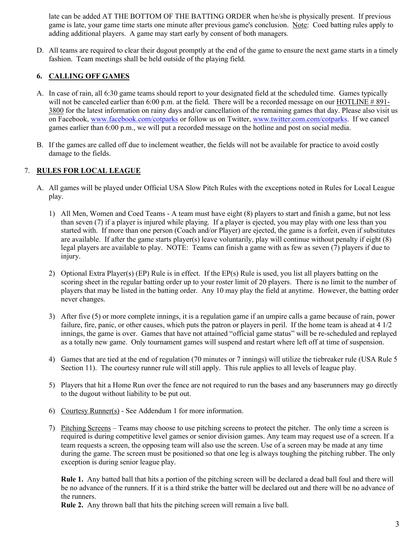late can be added AT THE BOTTOM OF THE BATTING ORDER when he/she is physically present. If previous game is late, your game time starts one minute after previous game's conclusion. Note: Coed batting rules apply to adding additional players. A game may start early by consent of both managers.

D. All teams are required to clear their dugout promptly at the end of the game to ensure the next game starts in a timely fashion. Team meetings shall be held outside of the playing field.

## 6. CALLING OFF GAMES

- A. In case of rain, all 6:30 game teams should report to your designated field at the scheduled time. Games typically will not be canceled earlier than 6:00 p.m. at the field. There will be a recorded message on our HOTLINE # 891-3800 for the latest information on rainy days and/or cancellation of the remaining games that day. Please also visit us on Facebook, www.facebook.com/cotparks or follow us on Twitter, www.twitter.com.com/cotparks. If we cancel games earlier than 6:00 p.m., we will put a recorded message on the hotline and post on social media.
- B. If the games are called off due to inclement weather, the fields will not be available for practice to avoid costly damage to the fields.

## 7. RULES FOR LOCAL LEAGUE

- A. All games will be played under Official USA Slow Pitch Rules with the exceptions noted in Rules for Local League play.
	- 1) All Men, Women and Coed Teams A team must have eight (8) players to start and finish a game, but not less than seven (7) if a player is injured while playing. If a player is ejected, you may play with one less than you started with. If more than one person (Coach and/or Player) are ejected, the game is a forfeit, even if substitutes are available. If after the game starts player(s) leave voluntarily, play will continue without penalty if eight (8) legal players are available to play. NOTE: Teams can finish a game with as few as seven (7) players if due to injury.
	- 2) Optional Extra Player(s) (EP) Rule is in effect. If the EP(s) Rule is used, you list all players batting on the scoring sheet in the regular batting order up to your roster limit of 20 players. There is no limit to the number of players that may be listed in the batting order. Any 10 may play the field at anytime. However, the batting order never changes.
	- 3) After five (5) or more complete innings, it is a regulation game if an umpire calls a game because of rain, power failure, fire, panic, or other causes, which puts the patron or players in peril. If the home team is ahead at 4 1/2 innings, the game is over. Games that have not attained "official game status" will be re-scheduled and replayed as a totally new game. Only tournament games will suspend and restart where left off at time of suspension.
	- 4) Games that are tied at the end of regulation (70 minutes or 7 innings) will utilize the tiebreaker rule (USA Rule 5 Section 11). The courtesy runner rule will still apply. This rule applies to all levels of league play.
	- 5) Players that hit a Home Run over the fence are not required to run the bases and any baserunners may go directly to the dugout without liability to be put out.
	- 6) Courtesy Runner(s) See Addendum 1 for more information.
	- 7) Pitching Screens Teams may choose to use pitching screens to protect the pitcher. The only time a screen is required is during competitive level games or senior division games. Any team may request use of a screen. If a team requests a screen, the opposing team will also use the screen. Use of a screen may be made at any time during the game. The screen must be positioned so that one leg is always toughing the pitching rubber. The only exception is during senior league play.

Rule 1. Any batted ball that hits a portion of the pitching screen will be declared a dead ball foul and there will be no advance of the runners. If it is a third strike the batter will be declared out and there will be no advance of the runners.

Rule 2. Any thrown ball that hits the pitching screen will remain a live ball.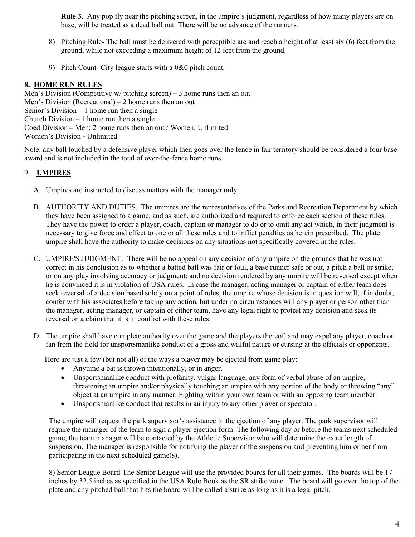Rule 3. Any pop fly near the pitching screen, in the umpire's judgment, regardless of how many players are on base, will be treated as a dead ball out. There will be no advance of the runners.

- 8) Pitching Rule- The ball must be delivered with perceptible arc and reach a height of at least six (6) feet from the ground, while not exceeding a maximum height of 12 feet from the ground.
- 9) Pitch Count- City league starts with a 0&0 pitch count.

## 8. HOME RUN RULES

Men's Division (Competitive w/ pitching screen) – 3 home runs then an out Men's Division (Recreational) – 2 home runs then an out Senior's Division – 1 home run then a single Church Division  $-1$  home run then a single Coed Division – Men: 2 home runs then an out / Women: Unlimited Women's Division - Unlimited

Note: any ball touched by a defensive player which then goes over the fence in fair territory should be considered a four base award and is not included in the total of over-the-fence home runs.

# 9. UMPIRES

- A. Umpires are instructed to discuss matters with the manager only.
- B. AUTHORITY AND DUTIES. The umpires are the representatives of the Parks and Recreation Department by which they have been assigned to a game, and as such, are authorized and required to enforce each section of these rules. They have the power to order a player, coach, captain or manager to do or to omit any act which, in their judgment is necessary to give force and effect to one or all these rules and to inflict penalties as herein prescribed. The plate umpire shall have the authority to make decisions on any situations not specifically covered in the rules.
- C. UMPIRE'S JUDGMENT. There will be no appeal on any decision of any umpire on the grounds that he was not correct in his conclusion as to whether a batted ball was fair or foul, a base runner safe or out, a pitch a ball or strike, or on any play involving accuracy or judgment; and no decision rendered by any umpire will be reversed except when he is convinced it is in violation of USA rules. In case the manager, acting manager or captain of either team does seek reversal of a decision based solely on a point of rules, the umpire whose decision is in question will, if in doubt, confer with his associates before taking any action, but under no circumstances will any player or person other than the manager, acting manager, or captain of either team, have any legal right to protest any decision and seek its reversal on a claim that it is in conflict with these rules.
- D. The umpire shall have complete authority over the game and the players thereof, and may expel any player, coach or fan from the field for unsportsmanlike conduct of a gross and willful nature or cursing at the officials or opponents.

Here are just a few (but not all) of the ways a player may be ejected from game play:

- Anytime a bat is thrown intentionally, or in anger.
- Unsportsmanlike conduct with profanity, vulgar language, any form of verbal abuse of an umpire, threatening an umpire and/or physically touching an umpire with any portion of the body or throwing "any" object at an umpire in any manner. Fighting within your own team or with an opposing team member.
- Unsportsmanlike conduct that results in an injury to any other player or spectator.

The umpire will request the park supervisor's assistance in the ejection of any player. The park supervisor will require the manager of the team to sign a player ejection form. The following day or before the teams next scheduled game, the team manager will be contacted by the Athletic Supervisor who will determine the exact length of suspension. The manager is responsible for notifying the player of the suspension and preventing him or her from participating in the next scheduled game(s).

8) Senior League Board-The Senior League will use the provided boards for all their games. The boards will be 17 inches by 32.5 inches as specified in the USA Rule Book as the SR strike zone. The board will go over the top of the plate and any pitched ball that hits the board will be called a strike as long as it is a legal pitch.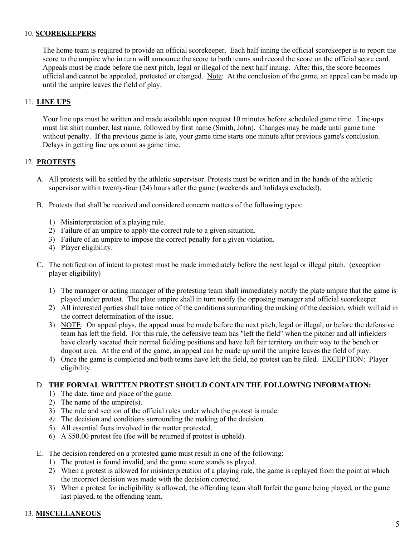#### 10. SCOREKEEPERS

 The home team is required to provide an official scorekeeper. Each half inning the official scorekeeper is to report the score to the umpire who in turn will announce the score to both teams and record the score on the official score card. Appeals must be made before the next pitch, legal or illegal of the next half inning. After this, the score becomes official and cannot be appealed, protested or changed. Note: At the conclusion of the game, an appeal can be made up until the umpire leaves the field of play.

### 11. LINE UPS

 Your line ups must be written and made available upon request 10 minutes before scheduled game time. Line-ups must list shirt number, last name, followed by first name (Smith, John). Changes may be made until game time without penalty. If the previous game is late, your game time starts one minute after previous game's conclusion. Delays in getting line ups count as game time.

## 12. PROTESTS

- A. All protests will be settled by the athletic supervisor. Protests must be written and in the hands of the athletic supervisor within twenty-four (24) hours after the game (weekends and holidays excluded).
- B. Protests that shall be received and considered concern matters of the following types:
	- 1) Misinterpretation of a playing rule.
	- 2) Failure of an umpire to apply the correct rule to a given situation.
	- 3) Failure of an umpire to impose the correct penalty for a given violation.
	- 4) Player eligibility.
- C. The notification of intent to protest must be made immediately before the next legal or illegal pitch. (exception player eligibility)
	- 1) The manager or acting manager of the protesting team shall immediately notify the plate umpire that the game is played under protest. The plate umpire shall in turn notify the opposing manager and official scorekeeper.
	- 2) All interested parties shall take notice of the conditions surrounding the making of the decision, which will aid in the correct determination of the issue.
	- 3) NOTE: On appeal plays, the appeal must be made before the next pitch, legal or illegal, or before the defensive team has left the field. For this rule, the defensive team has "left the field" when the pitcher and all infielders have clearly vacated their normal fielding positions and have left fair territory on their way to the bench or dugout area. At the end of the game, an appeal can be made up until the umpire leaves the field of play.
	- 4) Once the game is completed and both teams have left the field, no protest can be filed. EXCEPTION: Player eligibility.

#### D. THE FORMAL WRITTEN PROTEST SHOULD CONTAIN THE FOLLOWING INFORMATION:

- 1) The date, time and place of the game.
- 2) The name of the umpire(s).
- 3) The rule and section of the official rules under which the protest is made.
- 4) The decision and conditions surrounding the making of the decision.
- 5) All essential facts involved in the matter protested.
- 6) A \$50.00 protest fee (fee will be returned if protest is upheld).
- E. The decision rendered on a protested game must result in one of the following:
	- 1) The protest is found invalid, and the game score stands as played.
	- 2) When a protest is allowed for misinterpretation of a playing rule, the game is replayed from the point at which the incorrect decision was made with the decision corrected.
	- 3) When a protest for ineligibility is allowed, the offending team shall forfeit the game being played, or the game last played, to the offending team.

#### 13. MISCELLANEOUS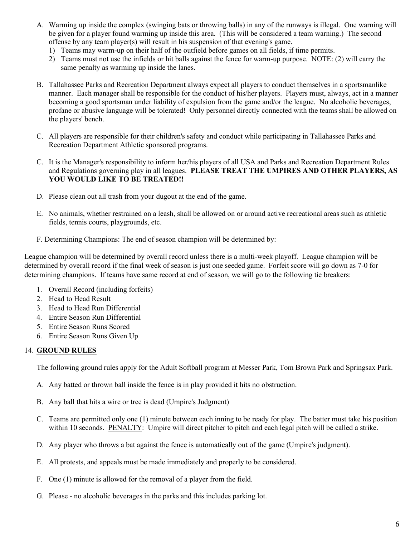- A. Warming up inside the complex (swinging bats or throwing balls) in any of the runways is illegal. One warning will be given for a player found warming up inside this area. (This will be considered a team warning.) The second offense by any team player(s) will result in his suspension of that evening's game.
	- 1) Teams may warm-up on their half of the outfield before games on all fields, if time permits.
	- 2) Teams must not use the infields or hit balls against the fence for warm-up purpose. NOTE: (2) will carry the same penalty as warming up inside the lanes.
- B. Tallahassee Parks and Recreation Department always expect all players to conduct themselves in a sportsmanlike manner. Each manager shall be responsible for the conduct of his/her players. Players must, always, act in a manner becoming a good sportsman under liability of expulsion from the game and/or the league. No alcoholic beverages, profane or abusive language will be tolerated! Only personnel directly connected with the teams shall be allowed on the players' bench.
- C. All players are responsible for their children's safety and conduct while participating in Tallahassee Parks and Recreation Department Athletic sponsored programs.
- C. It is the Manager's responsibility to inform her/his players of all USA and Parks and Recreation Department Rules and Regulations governing play in all leagues. PLEASE TREAT THE UMPIRES AND OTHER PLAYERS, AS YOU WOULD LIKE TO BE TREATED!!
- D. Please clean out all trash from your dugout at the end of the game.
- E. No animals, whether restrained on a leash, shall be allowed on or around active recreational areas such as athletic fields, tennis courts, playgrounds, etc.
- F. Determining Champions: The end of season champion will be determined by:

League champion will be determined by overall record unless there is a multi-week playoff. League champion will be determined by overall record if the final week of season is just one seeded game. Forfeit score will go down as 7-0 for determining champions. If teams have same record at end of season, we will go to the following tie breakers:

- 1. Overall Record (including forfeits)
- 2. Head to Head Result
- 3. Head to Head Run Differential
- 4. Entire Season Run Differential
- 5. Entire Season Runs Scored
- 6. Entire Season Runs Given Up

## 14. GROUND RULES

The following ground rules apply for the Adult Softball program at Messer Park, Tom Brown Park and Springsax Park.

- A. Any batted or thrown ball inside the fence is in play provided it hits no obstruction.
- B. Any ball that hits a wire or tree is dead (Umpire's Judgment)
- C. Teams are permitted only one (1) minute between each inning to be ready for play. The batter must take his position within 10 seconds. PENALTY: Umpire will direct pitcher to pitch and each legal pitch will be called a strike.
- D. Any player who throws a bat against the fence is automatically out of the game (Umpire's judgment).
- E. All protests, and appeals must be made immediately and properly to be considered.
- F. One (1) minute is allowed for the removal of a player from the field.
- G. Please no alcoholic beverages in the parks and this includes parking lot.